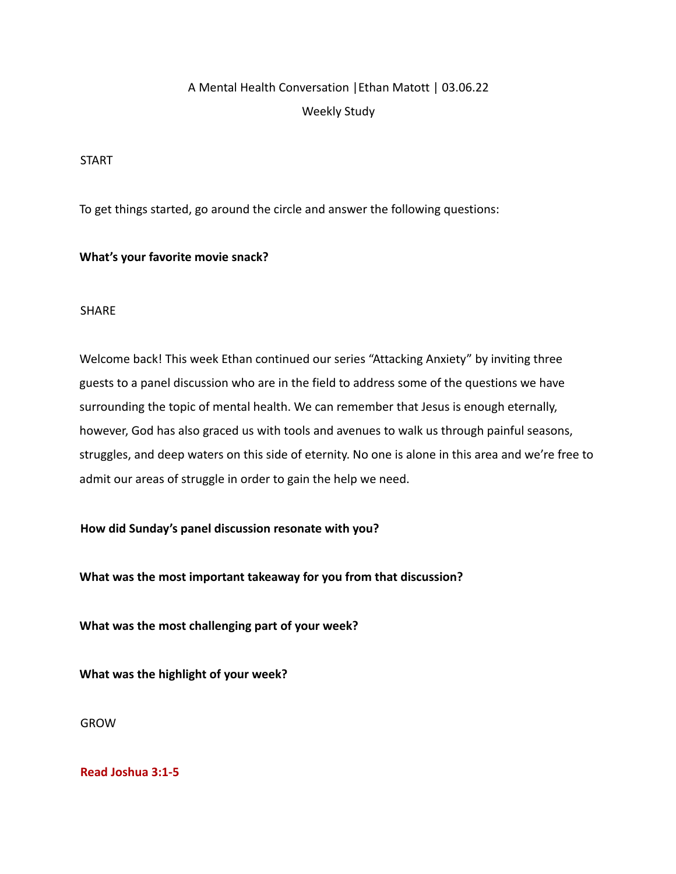# A Mental Health Conversation |Ethan Matott | 03.06.22 Weekly Study

#### START

To get things started, go around the circle and answer the following questions:

## **What's your favorite movie snack?**

## SHARE

Welcome back! This week Ethan continued our series "Attacking Anxiety" by inviting three guests to a panel discussion who are in the field to address some of the questions we have surrounding the topic of mental health. We can remember that Jesus is enough eternally, however, God has also graced us with tools and avenues to walk us through painful seasons, struggles, and deep waters on this side of eternity. No one is alone in this area and we're free to admit our areas of struggle in order to gain the help we need.

## **How did Sunday's panel discussion resonate with you?**

**What was the most important takeaway for you from that discussion?**

**What was the most challenging part of your week?**

**What was the highlight of your week?**

GROW

## **Read Joshua 3:1-5**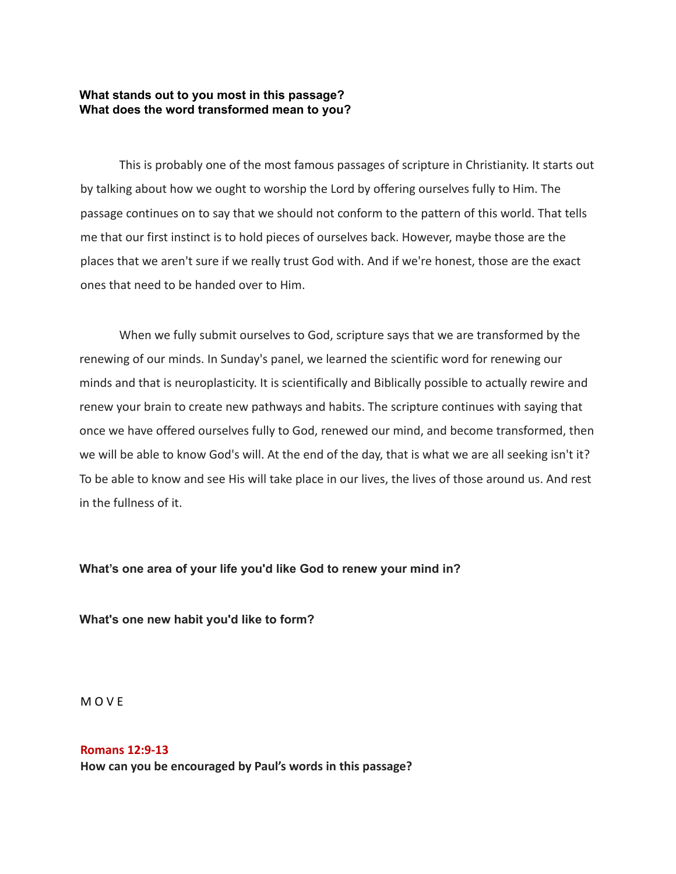#### **What stands out to you most in this passage? What does the word transformed mean to you?**

This is probably one of the most famous passages of scripture in Christianity. It starts out by talking about how we ought to worship the Lord by offering ourselves fully to Him. The passage continues on to say that we should not conform to the pattern of this world. That tells me that our first instinct is to hold pieces of ourselves back. However, maybe those are the places that we aren't sure if we really trust God with. And if we're honest, those are the exact ones that need to be handed over to Him.

When we fully submit ourselves to God, scripture says that we are transformed by the renewing of our minds. In Sunday's panel, we learned the scientific word for renewing our minds and that is neuroplasticity. It is scientifically and Biblically possible to actually rewire and renew your brain to create new pathways and habits. The scripture continues with saying that once we have offered ourselves fully to God, renewed our mind, and become transformed, then we will be able to know God's will. At the end of the day, that is what we are all seeking isn't it? To be able to know and see His will take place in our lives, the lives of those around us. And rest in the fullness of it.

#### **What's one area of your life you'd like God to renew your mind in?**

**What's one new habit you'd like to form?**

M O V E

**Romans 12:9-13 How can you be encouraged by Paul's words in this passage?**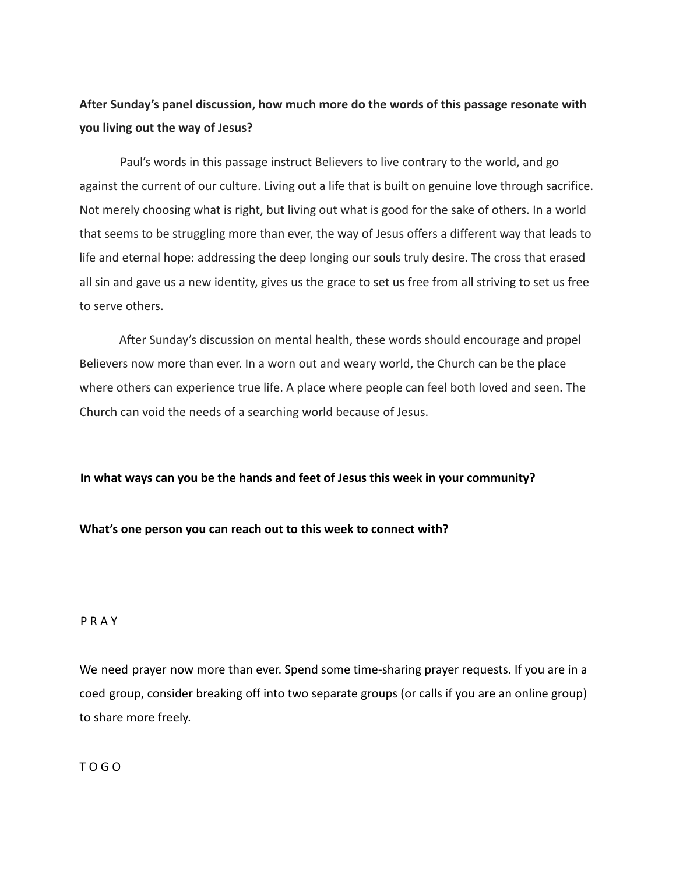## **After Sunday's panel discussion, how much more do the words of this passage resonate with you living out the way of Jesus?**

Paul's words in this passage instruct Believers to live contrary to the world, and go against the current of our culture. Living out a life that is built on genuine love through sacrifice. Not merely choosing what is right, but living out what is good for the sake of others. In a world that seems to be struggling more than ever, the way of Jesus offers a different way that leads to life and eternal hope: addressing the deep longing our souls truly desire. The cross that erased all sin and gave us a new identity, gives us the grace to set us free from all striving to set us free to serve others.

After Sunday's discussion on mental health, these words should encourage and propel Believers now more than ever. In a worn out and weary world, the Church can be the place where others can experience true life. A place where people can feel both loved and seen. The Church can void the needs of a searching world because of Jesus.

#### **In what ways can you be the hands and feet of Jesus this week in your community?**

#### **What's one person you can reach out to this week to connect with?**

#### P R A Y

We need prayer now more than ever. Spend some time-sharing prayer requests. If you are in a coed group, consider breaking off into two separate groups (or calls if you are an online group) to share more freely.

T O G O